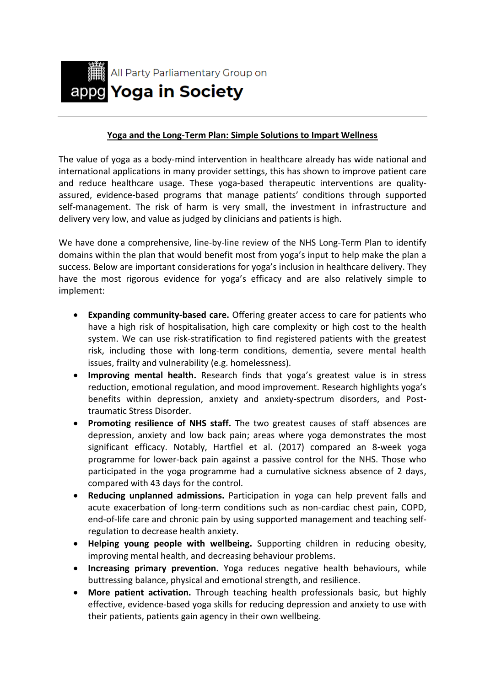

## **Yoga and the Long-Term Plan: Simple Solutions to Impart Wellness**

The value of yoga as a body-mind intervention in healthcare already has wide national and international applications in many provider settings, this has shown to improve patient care and reduce healthcare usage. These yoga-based therapeutic interventions are qualityassured, evidence-based programs that manage patients' conditions through supported self-management. The risk of harm is very small, the investment in infrastructure and delivery very low, and value as judged by clinicians and patients is high.

We have done a comprehensive, line-by-line review of the NHS Long-Term Plan to identify domains within the plan that would benefit most from yoga's input to help make the plan a success. Below are important considerations for yoga's inclusion in healthcare delivery. They have the most rigorous evidence for yoga's efficacy and are also relatively simple to implement:

- **Expanding community-based care.** Offering greater access to care for patients who have a high risk of hospitalisation, high care complexity or high cost to the health system. We can use risk-stratification to find registered patients with the greatest risk, including those with long-term conditions, dementia, severe mental health issues, frailty and vulnerability (e.g. homelessness).
- **Improving mental health.** Research finds that yoga's greatest value is in stress reduction, emotional regulation, and mood improvement. Research highlights yoga's benefits within depression, anxiety and anxiety-spectrum disorders, and Posttraumatic Stress Disorder.
- **Promoting resilience of NHS staff.** The two greatest causes of staff absences are depression, anxiety and low back pain; areas where yoga demonstrates the most significant efficacy. Notably, Hartfiel et al. (2017) compared an 8-week yoga programme for lower-back pain against a passive control for the NHS. Those who participated in the yoga programme had a cumulative sickness absence of 2 days, compared with 43 days for the control.
- **Reducing unplanned admissions.** Participation in yoga can help prevent falls and acute exacerbation of long-term conditions such as non-cardiac chest pain, COPD, end-of-life care and chronic pain by using supported management and teaching selfregulation to decrease health anxiety.
- **Helping young people with wellbeing.** Supporting children in reducing obesity, improving mental health, and decreasing behaviour problems.
- **Increasing primary prevention.** Yoga reduces negative health behaviours, while buttressing balance, physical and emotional strength, and resilience.
- **More patient activation.** Through teaching health professionals basic, but highly effective, evidence-based yoga skills for reducing depression and anxiety to use with their patients, patients gain agency in their own wellbeing.